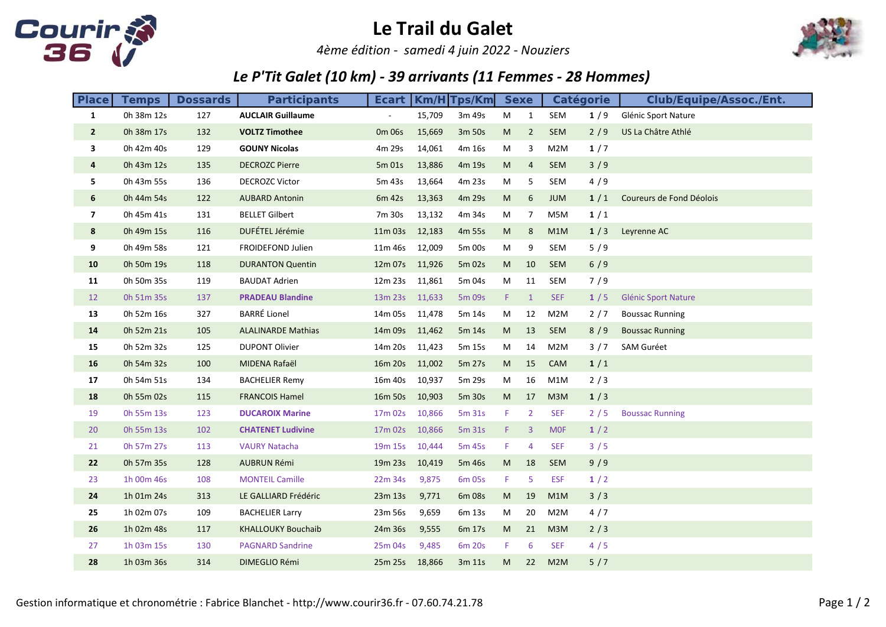

## Le Trail du Galet

4ème édition - samedi 4 juin 2022 - Nouziers



## Le P'Tit Galet (10 km) - 39 arrivants (11 Femmes - 28 Hommes)

| <b>Place</b>      | <b>Temps</b> | <b>Dossards</b> | <b>Participants</b>       | Ecart               |        | Km/H Tps/Km | <b>Sexe</b> |                |            | <b>Catégorie</b> | <b>Club/Equipe/Assoc./Ent.</b> |
|-------------------|--------------|-----------------|---------------------------|---------------------|--------|-------------|-------------|----------------|------------|------------------|--------------------------------|
| $\mathbf{1}$      | 0h 38m 12s   | 127             | <b>AUCLAIR Guillaume</b>  |                     | 15,709 | 3m 49s      | M           | $\mathbf{1}$   | SEM        | 1/9              | Glénic Sport Nature            |
| $\overline{2}$    | 0h 38m 17s   | 132             | <b>VOLTZ Timothee</b>     | 0 <sub>m</sub> 06s  | 15,669 | 3m 50s      | M           | $\overline{2}$ | SEM        | 2/9              | US La Châtre Athlé             |
| 3                 | 0h 42m 40s   | 129             | <b>GOUNY Nicolas</b>      | 4m 29s              | 14,061 | 4m 16s      | М           | 3              | M2M        | 1/7              |                                |
| 4                 | 0h 43m 12s   | 135             | <b>DECROZC Pierre</b>     | 5m 01s              | 13,886 | 4m 19s      | M           | $\overline{4}$ | <b>SEM</b> | 3/9              |                                |
| 5.                | 0h 43m 55s   | 136             | <b>DECROZC Victor</b>     | 5m 43s              | 13,664 | 4m 23s      | M           | 5              | SEM        | 4/9              |                                |
| 6                 | 0h 44m 54s   | 122             | <b>AUBARD Antonin</b>     | 6m 42s              | 13,363 | 4m 29s      | M           | 6              | <b>JUM</b> | 1/1              | Coureurs de Fond Déolois       |
| 7                 | 0h 45m 41s   | 131             | <b>BELLET Gilbert</b>     | 7m 30s              | 13,132 | 4m 34s      | M           | $\overline{7}$ | M5M        | 1/1              |                                |
| 8                 | 0h 49m 15s   | 116             | DUFÉTEL Jérémie           | 11m 03s             | 12,183 | 4m 55s      | M           | 8              | M1M        | 1/3              | Leyrenne AC                    |
| 9                 | 0h 49m 58s   | 121             | FROIDEFOND Julien         | 11m 46s             | 12,009 | 5m 00s      | M           | 9              | SEM        | 5/9              |                                |
| 10                | 0h 50m 19s   | 118             | <b>DURANTON Quentin</b>   | 12m 07s             | 11,926 | 5m 02s      | M           | 10             | <b>SEM</b> | 6/9              |                                |
| 11                | 0h 50m 35s   | 119             | <b>BAUDAT Adrien</b>      | 12m 23s             | 11,861 | 5m 04s      | M           | 11             | SEM        | 7/9              |                                |
| $12 \overline{ }$ | 0h 51m 35s   | 137             | <b>PRADEAU Blandine</b>   | 13m 23s             | 11,633 | 5m 09s      | F.          | $\mathbf{1}$   | <b>SEF</b> | 1/5              | <b>Glénic Sport Nature</b>     |
| 13                | 0h 52m 16s   | 327             | <b>BARRÉ Lionel</b>       | 14m 05s             | 11,478 | 5m 14s      | M           | 12             | M2M        | $2/7$            | <b>Boussac Running</b>         |
| 14                | 0h 52m 21s   | 105             | <b>ALALINARDE Mathias</b> | 14m 09s             | 11,462 | 5m 14s      | M           | 13             | <b>SEM</b> | 8/9              | <b>Boussac Running</b>         |
| 15                | 0h 52m 32s   | 125             | <b>DUPONT Olivier</b>     | 14m 20s             | 11,423 | 5m 15s      | M           | 14             | M2M        | 3/7              | <b>SAM Guréet</b>              |
| 16                | 0h 54m 32s   | 100             | MIDENA Rafaël             | 16m 20s             | 11,002 | 5m 27s      | M           | 15             | CAM        | 1/1              |                                |
| 17                | 0h 54m 51s   | 134             | <b>BACHELIER Remy</b>     | 16m 40s             | 10,937 | 5m 29s      | M           | 16             | M1M        | 2/3              |                                |
| 18                | 0h 55m 02s   | 115             | <b>FRANCOIS Hamel</b>     | 16m 50s             | 10,903 | 5m 30s      | M           | 17             | M3M        | 1/3              |                                |
| 19                | 0h 55m 13s   | 123             | <b>DUCAROIX Marine</b>    | 17m 02s             | 10,866 | 5m 31s      | F.          | $\overline{2}$ | <b>SEF</b> | 2/5              | <b>Boussac Running</b>         |
| 20                | 0h 55m 13s   | 102             | <b>CHATENET Ludivine</b>  | 17m 02s             | 10,866 | 5m 31s      | F.          | 3              | <b>MOF</b> | 1/2              |                                |
| 21                | 0h 57m 27s   | 113             | <b>VAURY Natacha</b>      | 19 <sub>m</sub> 15s | 10,444 | 5m 45s      | F           | $\overline{4}$ | <b>SEF</b> | 3/5              |                                |
| 22                | 0h 57m 35s   | 128             | <b>AUBRUN Rémi</b>        | 19m 23s             | 10,419 | 5m 46s      | M           | 18             | <b>SEM</b> | 9/9              |                                |
| 23                | 1h 00m 46s   | 108             | <b>MONTEIL Camille</b>    | 22m 34s             | 9,875  | 6m 05s      | F.          | 5              | <b>ESF</b> | 1/2              |                                |
| 24                | 1h 01m 24s   | 313             | LE GALLIARD Frédéric      | 23m 13s             | 9,771  | 6m 08s      | M           | 19             | M1M        | 3/3              |                                |
| 25                | 1h 02m 07s   | 109             | <b>BACHELIER Larry</b>    | 23m 56s             | 9,659  | 6m 13s      | M           | 20             | M2M        | 4/7              |                                |
| 26                | 1h 02m 48s   | 117             | <b>KHALLOUKY Bouchaib</b> | 24m 36s             | 9,555  | 6m 17s      | M           | 21             | M3M        | 2/3              |                                |
| 27                | 1h 03m 15s   | 130             | <b>PAGNARD Sandrine</b>   | 25m 04s             | 9,485  | 6m 20s      | F           | 6              | <b>SEF</b> | 4/5              |                                |
| 28                | 1h 03m 36s   | 314             | DIMEGLIO Rémi             | 25m 25s             | 18,866 | 3m 11s      | M           | 22             | M2M        | 5/7              |                                |